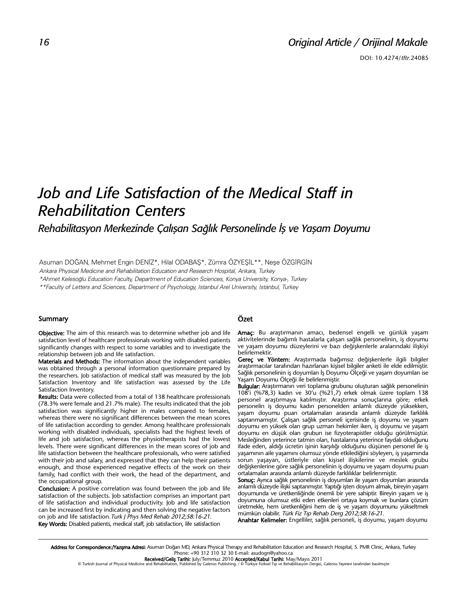# *Original Article / Orijinal Makale*

# *Job and Life Satisfaction of the Medical Staff in Rehabilitation Centers*

*Rehabilitasyon Merkezinde Çalışan Sağlık Personelinde İş ve Yaşam Doyumu*

Asuman DOĞAN, Mehmet Engin DENİZ\*, Hilal ODABAŞ\*, Zümra ÖZYEŞİL\*\*, Neşe ÖZGİRGİN

Ankara Physical Medicine and Rehabilitation Education and Research Hospital, Ankara, Turkey

\*Ahmet Kelesoğlu Education Faculty, Department of Education Sciences, Konya University, Konya-, Turkey

\*\*Faculty of Letters and Sciences, Department of Psychology, Istanbul Arel University, Istanbul, Turkey

#### Summary

Objective: The aim of this research was to determine whether job and life satisfaction level of healthcare professionals working with disabled patients significantly changes with respect to some variables and to investigate the relationship between job and life satisfaction.

Materials and Methods: The information about the independent variables was obtained through a personal information questionnaire prepared by the researchers. Job satisfaction of medical staff was measured by the Job Satisfaction Inventory and life satisfaction was assessed by the Life Satisfaction Inventory.

Results: Data were collected from a total of 138 healthcare professionals (78.3% were female and 21.7% male). The results indicated that the job satisfaction was significantly higher in males compared to females, whereas there were no significant differences between the mean scores of life satisfaction according to gender. Among healthcare professionals working with disabled individuals, specialists had the highest levels of life and job satisfaction, whereas the physiotherapists had the lowest levels. There were significant differences in the mean scores of job and life satisfaction between the healthcare professionals, who were satisfied with their job and salary, and expressed that they can help their patients enough, and those experienced negative effects of the work on their family, had conflict with their work, the head of the department, and the occupational group.

Conclusion: A positive correlation was found between the job and life satisfaction of the subjects. Job satisfaction comprises an important part of life satisfaction and individual productivity. Job and life satisfaction can be increased first by indicating and then solving the negative factors on job and life satisfaction. Turk J Phys Med Rehab 2012:58:16-21. Key Words: Disabled patients, medical staff, job satisfaction, life satisfaction

#### Özet

Amaç: Bu araştırmanın amacı, bedensel engelli ve günlük yaşam aktivitelerinde bağımlı hastalarla çalışan sağlık personelinin, iş doyumu ve yaşam doyumu düzeylerini ve bazı değişkenlerle aralarındaki ilişkiyi belirlemektir.

Gereç ve Yöntem: Araştırmada bağımsız değişkenlerle ilgili bilgiler araştırmacılar tarafından hazırlanan kişisel bilgiler anketi ile elde edilmiştir. Sağlık personelinin iş doyumları İş Doyumu Ölçeği ve yaşam doyumları ise Yaşam Doyumu Ölçeği ile belirlenmiştir.

Bulgular: Araştırmanın veri toplama grubunu oluşturan sağlık personelinin 108'i (%78,3) kadın ve 30'u (%21,7) erkek olmak üzere toplam 138 personel araştırmaya katılmıştır. Araştırma sonuçlarına göre; erkek personelin iş doyumu kadın personelden anlamlı düzeyde yüksekken, yaşam doyumu puan ortalamaları arasında anlamlı düzeyde farklılık saptanmamıştır. Çalışan sağlık personeli içerisinde iş doyumu ve yaşam doyumu en yüksek olan grup uzman hekimler iken, iş doyumu ve yaşam doyumu en düşük olan grubun ise fizyoterapistler olduğu görülmüştür. Mesleğinden yeterince tatmin olan, hastalarına yeterince faydalı olduğunu ifade eden, aldığı ücretin işinin karşılığı olduğunu düşünen personel ile iş yaşamının aile yaşamını olumsuz yönde etkilediğini söyleyen, iş yaşamında sorun yaşayan, üstleriyle olan kişisel ilişkilerine ve meslek grubu değişkenlerine göre sağlık personelinin iş doyumu ve yaşam doyumu puan ortalamaları arasında anlamlı düzeyde farklılıklar belirlenmiştir.

Sonuç: Ayrıca sağlık personelinin iş doyumları ile yaşam doyumları arasında anlamlı düzeyde ilişki saptanmıştır. Yaptığı işten doyum almak, bireyin yaşam doyumunda ve üretkenliğinde önemli bir yere sahiptir. Bireyin yaşam ve iş doyumuna olumsuz etki eden etkenleri ortaya koymak ve bunlara çözüm üretmekle, hem üretkenliğini hem de iş ve yaşam doyumunu yükseltmek mümkün olabilir. Türk Fiz Tıp Rehab Derg 2012;58:16-21.

Anahtar Kelimeler: Engelliler, sağlık personeli, iş doyumu, yaşam doyumu

Address for Correspondence:/Yazışma Adresi: Asuman Doğan MD, Ankara Physical Therapy and Rehabilitation Education and Research Hospital, 5. PMR Clinic, Ankara, Turkey Phone: +90 312 310 32 30 E-mail: asudogn@yahoo.ca

**Received/Geliş Tarihi:** July/Temmuz 2010 **Accepted/Kabul Tarihi: M**ay/Mayıs 2011<br>© Turkish Journal of Physical Medicine and Rehabilitation, Published by Galenos Publishing. / © Türkiye Fiziksel Tıp ve Rehabilitasyon Dergi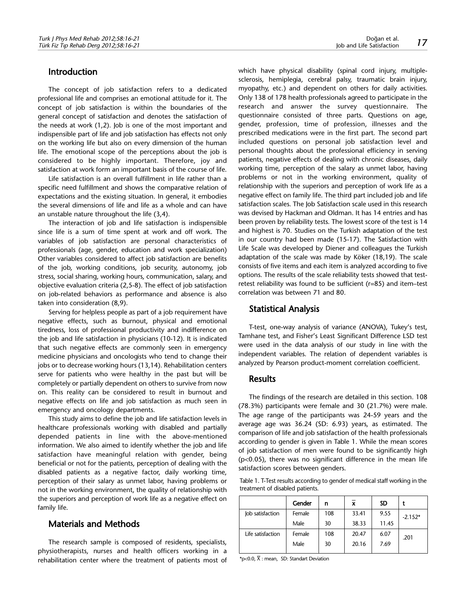# Introduction

The concept of job satisfaction refers to a dedicated professional life and comprises an emotional attitude for it. The concept of job satisfaction is within the boundaries of the general concept of satisfaction and denotes the satisfaction of the needs at work (1,2). Job is one of the most important and indispensible part of life and job satisfaction has effects not only on the working life but also on every dimension of the human life. The emotional scope of the perceptions about the job is considered to be highly important. Therefore, joy and satisfaction at work form an important basis of the course of life.

Life satisfaction is an overall fulfillment in life rather than a specific need fulfillment and shows the comparative relation of expectations and the existing situation. In general, it embodies the several dimensions of life and life as a whole and can have an unstable nature throughout the life (3,4).

The interaction of job and life satisfaction is indispensible since life is a sum of time spent at work and off work. The variables of job satisfaction are personal characteristics of professionals (age, gender, education and work specialization) Other variables considered to affect job satisfaction are benefits of the job, working conditions, job security, autonomy, job stress, social sharing, working hours, communication, salary, and objective evaluation criteria (2,5-8). The effect of job satisfaction on job-related behaviors as performance and absence is also taken into consideration (8,9).

Serving for helpless people as part of a job requirement have negative effects, such as burnout, physical and emotional tiredness, loss of professional productivity and indifference on the job and life satisfaction in physicians (10-12). It is indicated that such negative effects are commonly seen in emergency medicine physicians and oncologists who tend to change their jobs or to decrease working hours (13,14). Rehabilitation centers serve for patients who were healthy in the past but will be completely or partially dependent on others to survive from now on. This reality can be considered to result in burnout and negative effects on life and job satisfaction as much seen in emergency and oncology departments.

This study aims to define the job and life satisfaction levels in healthcare professionals working with disabled and partially depended patients in line with the above-mentioned information. We also aimed to identify whether the job and life satisfaction have meaningful relation with gender, being beneficial or not for the patients, perception of dealing with the disabled patients as a negative factor, daily working time, perception of their salary as unmet labor, having problems or not in the working environment, the quality of relationship with the superiors and perception of work life as a negative effect on family life.

#### Materials and Methods

The research sample is composed of residents, specialists, physiotherapists, nurses and health officers working in a rehabilitation center where the treatment of patients most of which have physical disability (spinal cord injury, multiplesclerosis, hemiplegia, cerebral palsy, traumatic brain injury, myopathy, etc.) and dependent on others for daily activities. Only 138 of 178 health professionals agreed to participate in the research and answer the survey questionnaire. The questionnaire consisted of three parts. Questions on age, gender, profession, time of profession, illnesses and the prescribed medications were in the first part. The second part included questions on personal job satisfaction level and personal thoughts about the professional efficiency in serving patients, negative effects of dealing with chronic diseases, daily working time, perception of the salary as unmet labor, having problems or not in the working environment, quality of relationship with the superiors and perception of work life as a negative effect on family life. The third part included job and life satisfaction scales. The Job Satisfaction scale used in this research was devised by Hackman and Oldman. It has 14 entries and has been proven by reliability tests. The lowest score of the test is 14 and highest is 70. Studies on the Turkish adaptation of the test in our country had been made (15-17). The Satisfaction with Life Scale was developed by Diener and colleagues the Turkish adaptation of the scale was made by Köker (18,19). The scale consists of five items and each item is analyzed according to five options. The results of the scale reliability tests showed that testretest reliability was found to be sufficient (r=85) and item–test correlation was between 71 and 80.

### Statistical Analysis

T-test, one-way analysis of variance (ANOVA), Tukey's test, Tamhane test, and Fisher's Least Significant Difference LSD test were used in the data analysis of our study in line with the independent variables. The relation of dependent variables is analyzed by Pearson product-moment correlation coefficient.

# **Results**

The findings of the research are detailed in this section. 108 (78.3%) participants were female and 30 (21.7%) were male. The age range of the participants was 24-59 years and the average age was 36.24 (SD: 6.93) years, as estimated. The comparison of life and job satisfaction of the health professionals according to gender is given in Table 1. While the mean scores of job satisfaction of men were found to be significantly high (p<0.05), there was no significant difference in the mean life satisfaction scores between genders.

Table 1. T-Test results according to gender of medical staff working in the treatment of disabled patients.

|                   | Gender | n   | x     | <b>SD</b> |           |  |
|-------------------|--------|-----|-------|-----------|-----------|--|
| Job satisfaction  | Female | 108 | 33.41 | 9.55      | $-2.152*$ |  |
|                   | Male   | 30  | 38.33 | 11.45     |           |  |
| Life satisfaction | Female | 108 | 20.47 | 6.07      | .201      |  |
|                   | Male   | 30  | 20.16 | 7.69      |           |  |

\*p<0.0,  $\overline{X}$  : mean, SD: Standart Deviation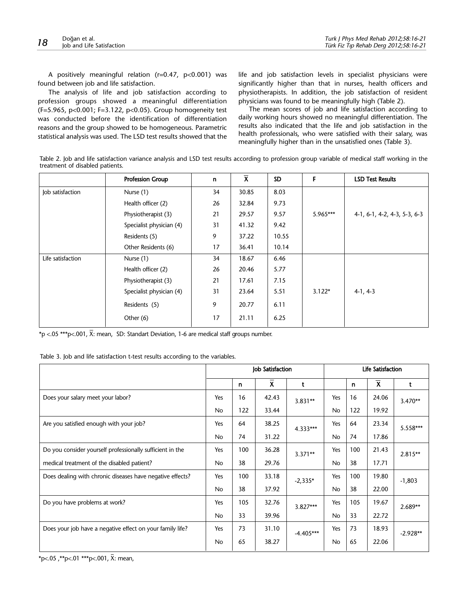A positively meaningful relation (r=0.47, p<0.001) was found between job and life satisfaction.

The analysis of life and job satisfaction according to profession groups showed a meaningful differentiation (F=5.965, p<0.001; F=3.122, p<0.05). Group homogeneity test was conducted before the identification of differentiation reasons and the group showed to be homogeneous. Parametric statistical analysis was used. The LSD test results showed that the life and job satisfaction levels in specialist physicians were significantly higher than that in nurses, health officers and physiotherapists. In addition, the job satisfaction of resident physicians was found to be meaningfully high (Table 2).

The mean scores of job and life satisfaction according to daily working hours showed no meaningful differentiation. The results also indicated that the life and job satisfaction in the health professionals, who were satisfied with their salary, was meaningfully higher than in the unsatisfied ones (Table 3).

Table 2. Job and life satisfaction variance analysis and LSD test results according to profession group variable of medical staff working in the treatment of disabled patients.

|                   | <b>Profession Group</b>  | n  | $\overline{\mathbf{X}}$ | <b>SD</b> | F        | <b>LSD Test Results</b>      |
|-------------------|--------------------------|----|-------------------------|-----------|----------|------------------------------|
| Job satisfaction  | Nurse (1)                | 34 | 30.85                   | 8.03      |          |                              |
|                   | Health officer (2)       | 26 | 32.84                   | 9.73      |          |                              |
|                   | Physiotherapist (3)      | 21 | 29.57                   | 9.57      | 5.965*** | 4-1, 6-1, 4-2, 4-3, 5-3, 6-3 |
|                   | Specialist physician (4) | 31 | 41.32                   | 9.42      |          |                              |
|                   | Residents (5)            | 9  | 37.22                   | 10.55     |          |                              |
|                   | Other Residents (6)      | 17 | 36.41                   | 10.14     |          |                              |
| Life satisfaction | Nurse (1)                | 34 | 18.67                   | 6.46      |          |                              |
|                   | Health officer (2)       | 26 | 20.46                   | 5.77      |          |                              |
|                   | Physiotherapist (3)      | 21 | 17.61                   | 7.15      |          |                              |
|                   | Specialist physician (4) | 31 | 23.64                   | 5.51      | $3.122*$ | $4-1, 4-3$                   |
|                   | Residents (5)            | 9  | 20.77                   | 6.11      |          |                              |
|                   | Other $(6)$              | 17 | 21.11                   | 6.25      |          |                              |

\*p <.05 \*\*\*p<.001,  $\overline{X}$ : mean, SD: Standart Deviation, 1-6 are medical staff groups number.

| Table 3. Job and life satisfaction t-test results according to the variables. |  |  |  |  |
|-------------------------------------------------------------------------------|--|--|--|--|
|-------------------------------------------------------------------------------|--|--|--|--|

|                                                           | Job Satisfaction |     |              | Life Satisfaction |           |     |             |            |
|-----------------------------------------------------------|------------------|-----|--------------|-------------------|-----------|-----|-------------|------------|
|                                                           |                  | n   | $\mathsf{x}$ | t                 |           | n   | $\mathbf x$ | t          |
| Does your salary meet your labor?                         | Yes              | 16  | 42.43        | $3.831**$         | Yes       | 16  | 24.06       | $3.470**$  |
|                                                           | No               | 122 | 33.44        |                   | No        | 122 | 19.92       |            |
| Are you satisfied enough with your job?                   | Yes              | 64  | 38.25        | $4.333***$        | Yes       | 64  | 23.34       | 5.558***   |
|                                                           | No               | 74  | 31.22        |                   | No        | 74  | 17.86       |            |
| Do you consider yourself professionally sufficient in the | Yes              | 100 | 36.28        | $3.371**$         | Yes       | 100 | 21.43       | $2.815**$  |
| medical treatment of the disabled patient?                | <b>No</b>        | 38  | 29.76        |                   | <b>No</b> | 38  | 17.71       |            |
| Does dealing with chronic diseases have negative effects? | Yes              | 100 | 33.18        | $-2,335*$         | Yes       | 100 | 19.80       | $-1,803$   |
|                                                           | No.              | 38  | 37.92        |                   | No        | 38  | 22.00       |            |
| Do you have problems at work?                             | Yes              | 105 | 32.76        | $3.827***$        | Yes       | 105 | 19.67       | $2.689**$  |
|                                                           | No               | 33  | 39.96        |                   | <b>No</b> | 33  | 22.72       |            |
| Does your job have a negative effect on your family life? | Yes              | 73  | 31.10        | $-4.405***$       | Yes       | 73  | 18.93       | $-2.928**$ |
|                                                           | <b>No</b>        | 65  | 38.27        |                   | <b>No</b> | 65  | 22.06       |            |

\*p<.05, \*\*p<.01 \*\*\*p<.001,  $\bar{X}$ : mean,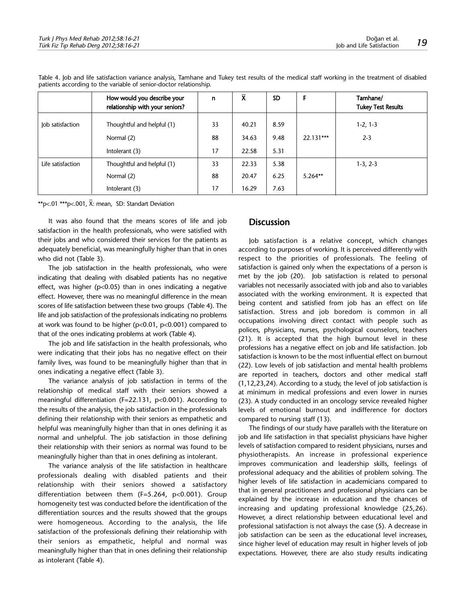|                   | How would you describe your<br>relationship with your seniors? | n  | $\bar{\mathsf{x}}$ | <b>SD</b> |           | Tamhane/<br><b>Tukey Test Results</b> |
|-------------------|----------------------------------------------------------------|----|--------------------|-----------|-----------|---------------------------------------|
| Job satisfaction  | Thoughtful and helpful (1)                                     | 33 | 40.21              | 8.59      |           | $1-2, 1-3$                            |
|                   | Normal (2)                                                     | 88 | 34.63              | 9.48      | 22.131*** | $2 - 3$                               |
|                   | Intolerant (3)                                                 | 17 | 22.58              | 5.31      |           |                                       |
| Life satisfaction | Thoughtful and helpful (1)                                     | 33 | 22.33              | 5.38      |           | $1-3, 2-3$                            |
|                   | Normal (2)                                                     | 88 | 20.47              | 6.25      | $5.264**$ |                                       |
|                   | Intolerant (3)                                                 | 17 | 16.29              | 7.63      |           |                                       |

Table 4. Job and life satisfaction variance analysis, Tamhane and Tukey test results of the medical staff working in the treatment of disabled patients according to the variable of senior-doctor relationship.

\*\*p<.01 \*\*\*p<.001,  $\overline{X}$ : mean, SD: Standart Deviation

It was also found that the means scores of life and job satisfaction in the health professionals, who were satisfied with their jobs and who considered their services for the patients as adequately beneficial, was meaningfully higher than that in ones who did not (Table 3).

The job satisfaction in the health professionals, who were indicating that dealing with disabled patients has no negative effect, was higher ( $p<0.05$ ) than in ones indicating a negative effect. However, there was no meaningful difference in the mean scores of life satisfaction between these two groups (Table 4). The life and job satisfaction of the professionals indicating no problems at work was found to be higher (p<0.01, p<0.001) compared to that of the ones indicating problems at work (Table 4).

The job and life satisfaction in the health professionals, who were indicating that their jobs has no negative effect on their family lives, was found to be meaningfully higher than that in ones indicating a negative effect (Table 3).

The variance analysis of job satisfaction in terms of the relationship of medical staff with their seniors showed a meaningful differentiation (F=22.131, p<0.001). According to the results of the analysis, the job satisfaction in the professionals defining their relationship with their seniors as empathetic and helpful was meaningfully higher than that in ones defining it as normal and unhelpful. The job satisfaction in those defining their relationship with their seniors as normal was found to be meaningfully higher than that in ones defining as intolerant.

The variance analysis of the life satisfaction in healthcare professionals dealing with disabled patients and their relationship with their seniors showed a satisfactory differentiation between them (F=5.264, p<0.001). Group homogeneity test was conducted before the identification of the differentiation sources and the results showed that the groups were homogeneous. According to the analysis, the life satisfaction of the professionals defining their relationship with their seniors as empathetic, helpful and normal was meaningfully higher than that in ones defining their relationship as intolerant (Table 4).

## **Discussion**

Job satisfaction is a relative concept, which changes according to purposes of working. It is perceived differently with respect to the priorities of professionals. The feeling of satisfaction is gained only when the expectations of a person is met by the job (20). Job satisfaction is related to personal variables not necessarily associated with job and also to variables associated with the working environment. It is expected that being content and satisfied from job has an effect on life satisfaction. Stress and job boredom is common in all occupations involving direct contact with people such as polices, physicians, nurses, psychological counselors, teachers (21). It is accepted that the high burnout level in these professions has a negative effect on job and life satisfaction. Job satisfaction is known to be the most influential effect on burnout (22). Low levels of job satisfaction and mental health problems are reported in teachers, doctors and other medical staff (1,12,23,24). According to a study, the level of job satisfaction is at minimum in medical professions and even lower in nurses (23). A study conducted in an oncology service revealed higher levels of emotional burnout and indifference for doctors compared to nursing staff (13).

The findings of our study have parallels with the literature on job and life satisfaction in that specialist physicians have higher levels of satisfaction compared to resident physicians, nurses and physiotherapists. An increase in professional experience improves communication and leadership skills, feelings of professional adequacy and the abilities of problem solving. The higher levels of life satisfaction in academicians compared to that in general practitioners and professional physicians can be explained by the increase in education and the chances of increasing and updating professional knowledge (25,26). However, a direct relationship between educational level and professional satisfaction is not always the case (5). A decrease in job satisfaction can be seen as the educational level increases, since higher level of education may result in higher levels of job expectations. However, there are also study results indicating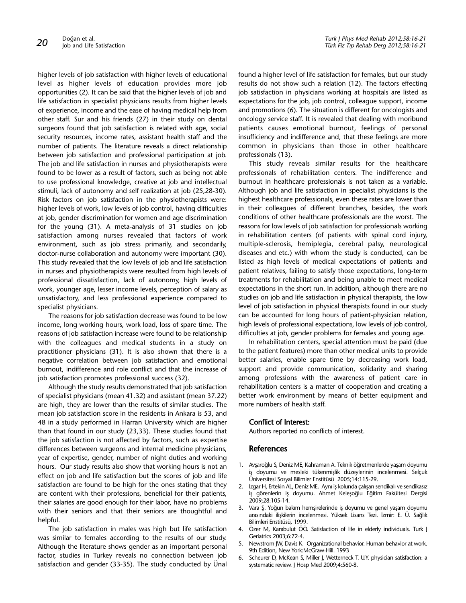higher levels of job satisfaction with higher levels of educational level as higher levels of education provides more job opportunities (2). It can be said that the higher levels of job and life satisfaction in specialist physicians results from higher levels of experience, income and the ease of having medical help from other staff. Sur and his friends (27) in their study on dental surgeons found that job satisfaction is related with age, social security resources, income rates, assistant health staff and the number of patients. The literature reveals a direct relationship between job satisfaction and professional participation at job. The job and life satisfaction in nurses and physiotherapists were found to be lower as a result of factors, such as being not able to use professional knowledge, creative at job and intellectual stimuli, lack of autonomy and self realization at job (25,28-30). Risk factors on job satisfaction in the physiotherapists were: higher levels of work, low levels of job control, having difficulties at job, gender discrimination for women and age discrimination for the young (31). A meta-analysis of 31 studies on job satisfaction among nurses revealed that factors of work environment, such as job stress primarily, and secondarily, doctor-nurse collaboration and autonomy were important (30). This study revealed that the low levels of job and life satisfaction in nurses and physiotherapists were resulted from high levels of professional dissatisfaction, lack of autonomy, high levels of work, younger age, lesser income levels, perception of salary as unsatisfactory, and less professional experience compared to specialist physicians.

The reasons for job satisfaction decrease was found to be low income, long working hours, work load, loss of spare time. The reasons of job satisfaction increase were found to be relationship with the colleagues and medical students in a study on practitioner physicians (31). It is also shown that there is a negative correlation between job satisfaction and emotional burnout, indifference and role conflict and that the increase of job satisfaction promotes professional success (32).

Although the study results demonstrated that job satisfaction of specialist physicians (mean 41.32) and assistant (mean 37.22) are high, they are lower than the results of similar studies. The mean job satisfaction score in the residents in Ankara is 53, and 48 in a study performed in Harran University which are higher than that found in our study (23,33). These studies found that the job satisfaction is not affected by factors, such as expertise differences between surgeons and internal medicine physicians, year of expertise, gender, number of night duties and working hours. Our study results also show that working hours is not an effect on job and life satisfaction but the scores of job and life satisfaction are found to be high for the ones stating that they are content with their professions, beneficial for their patients, their salaries are good enough for their labor, have no problems with their seniors and that their seniors are thoughtful and helpful.

The job satisfaction in males was high but life satisfaction was similar to females according to the results of our study. Although the literature shows gender as an important personal factor, studies in Turkey reveals no connection between job satisfaction and gender (33-35). The study conducted by Ünal found a higher level of life satisfaction for females, but our study results do not show such a relation (12). The factors effecting job satisfaction in physicians working at hospitals are listed as expectations for the job, job control, colleague support, income and promotions (6). The situation is different for oncologists and oncology service staff. It is revealed that dealing with moribund patients causes emotional burnout, feelings of personal insufficiency and indifference and, that these feelings are more common in physicians than those in other healthcare professionals (13).

This study reveals similar results for the healthcare professionals of rehabilitation centers. The indifference and burnout in healthcare professionals is not taken as a variable. Although job and life satisfaction in specialist physicians is the highest healthcare professionals, even these rates are lower than in their colleagues of different branches, besides, the work conditions of other healthcare professionals are the worst. The reasons for low levels of job satisfaction for professionals working in rehabilitation centers (of patients with spinal cord injury, multiple-sclerosis, hemiplegia, cerebral palsy, neurological diseases and etc.) with whom the study is conducted, can be listed as high levels of medical expectations of patients and patient relatives, failing to satisfy those expectations, long-term treatments for rehabilitation and being unable to meet medical expectations in the short run. In addition, although there are no studies on job and life satisfaction in physical therapists, the low level of job satisfaction in physical therapists found in our study can be accounted for long hours of patient-physician relation, high levels of professional expectations, low levels of job control, difficulties at job, gender problems for females and young age.

In rehabilitation centers, special attention must be paid (due to the patient features) more than other medical units to provide better salaries, enable spare time by decreasing work load, support and provide communication, solidarity and sharing among professions with the awareness of patient care in rehabilitation centers is a matter of cooperation and creating a better work environment by means of better equipment and more numbers of health staff.

#### Conflict of Interest:

Authors reported no conflicts of interest.

#### References

- 1. Avşaroğlu S, Deniz ME, Kahraman A. Teknik öğretmenlerde yaşam doyumu iş doyumu ve mesleki tükenmişlik düzeylerinin incelenmesi. Selçuk Üniversitesi Sosyal Bilimler Enstitüsü 2005;14:115-29.
- 2. Izgar H, Ertekin AL, Deniz ME. Aynı iş kolunda çalışan sendikalı ve sendikasız iş görenlerin iş doyumu. Ahmet Keleşoğlu Eğitim Fakültesi Dergisi 2009;28:105-14.
- 3. Vara Ş. Yoğun bakım hemşirelerinde iş doyumu ve genel yaşam doyumu arasındaki ilişkilerin incelenmesi. Yüksek Lisans Tezi. İzmir: E. Ü. Sağlık Bilimleri Enstitüsü, 1999.
- 4. Özer M, Karabulut ÖÖ. Satisfaction of life in elderly individuals. Turk J Geriatrics 2003;6:72-4.
- 5. Newstrom JW, Davis K. Organizational behavior. Human behavior at work. 9th Edition, New York:McGraw-Hill. 1993
- 6. Scheurer D, McKean S, Miller J, Wetterneck T. U.Y. physician satisfaction: a systematic review. J Hosp Med 2009;4:560-8.